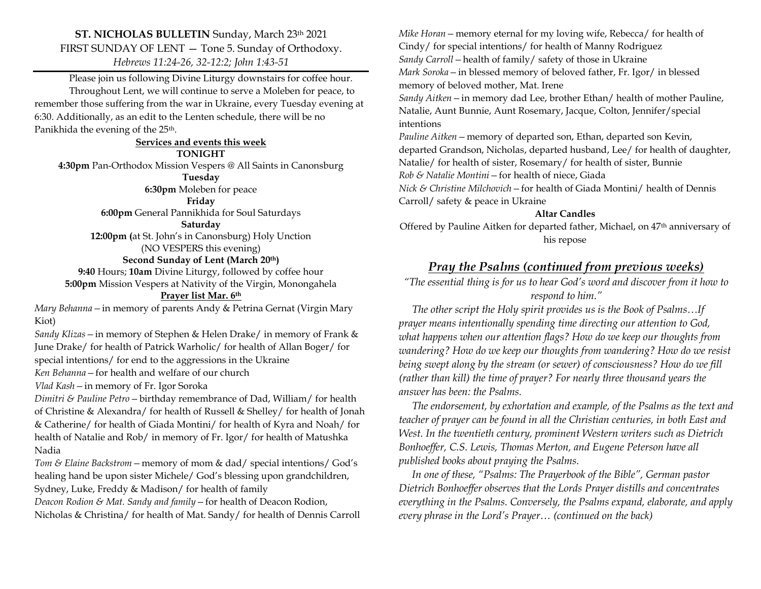## **ST. NICHOLAS BULLETIN** Sunday, March 23th 2021 FIRST SUNDAY OF LENT — Tone 5. Sunday of Orthodoxy. *Hebrews 11:24-26, 32-12:2; John 1:43-51*

Please join us following Divine Liturgy downstairs for coffee hour. Throughout Lent, we will continue to serve a Moleben for peace, to remember those suffering from the war in Ukraine, every Tuesday evening at 6:30. Additionally, as an edit to the Lenten schedule, there will be no Panikhida the evening of the 25<sup>th</sup>.

**Services and events this week TONIGHT 4:30pm** Pan-Orthodox Mission Vespers @ All Saints in Canonsburg **Tuesday 6:30pm** Moleben for peace

**Friday**

**6:00pm** General Pannikhida for Soul Saturdays

#### **Saturday**

**12:00pm (**at St. John's in Canonsburg) Holy Unction (NO VESPERS this evening) **Second Sunday of Lent (March 20th)**

**9:40** Hours; **10am** Divine Liturgy, followed by coffee hour **5:00pm** Mission Vespers at Nativity of the Virgin, Monongahela **Prayer list Mar. 6th**

*Mary Behanna—*in memory of parents Andy & Petrina Gernat (Virgin Mary Kiot)

*Sandy Klizas—*in memory of Stephen & Helen Drake/ in memory of Frank & June Drake/ for health of Patrick Warholic/ for health of Allan Boger/ for special intentions/ for end to the aggressions in the Ukraine

*Ken Behanna—*for health and welfare of our church

*Vlad Kash—*in memory of Fr. Igor Soroka

*Dimitri & Pauline Petro—*birthday remembrance of Dad, William/ for health of Christine & Alexandra/ for health of Russell & Shelley/ for health of Jonah & Catherine/ for health of Giada Montini/ for health of Kyra and Noah/ for health of Natalie and Rob/ in memory of Fr. Igor/ for health of Matushka Nadia

*Tom & Elaine Backstrom—*memory of mom & dad/ special intentions/ God's healing hand be upon sister Michele/ God's blessing upon grandchildren, Sydney, Luke, Freddy & Madison/ for health of family

*Deacon Rodion & Mat. Sandy and family—*for health of Deacon Rodion, Nicholas & Christina/ for health of Mat. Sandy/ for health of Dennis Carroll *Mike Horan—*memory eternal for my loving wife, Rebecca/ for health of Cindy/ for special intentions/ for health of Manny Rodriguez *Sandy Carroll—*health of family/ safety of those in Ukraine *Mark Soroka—*in blessed memory of beloved father, Fr. Igor/ in blessed memory of beloved mother, Mat. Irene *Sandy Aitken—*in memory dad Lee, brother Ethan/ health of mother Pauline, Natalie, Aunt Bunnie, Aunt Rosemary, Jacque, Colton, Jennifer/special intentions *Pauline Aitken—*memory of departed son, Ethan, departed son Kevin,

departed Grandson, Nicholas, departed husband, Lee/ for health of daughter, Natalie/ for health of sister, Rosemary/ for health of sister, Bunnie *Rob & Natalie Montini—*for health of niece, Giada *Nick & Christine Milchovich—*for health of Giada Montini/ health of Dennis

Carroll/ safety & peace in Ukraine

### **Altar Candles**

Offered by Pauline Aitken for departed father, Michael, on 47<sup>th</sup> anniversary of his repose

## *Pray the Psalms (continued from previous weeks)*

*"The essential thing is for us to hear God's word and discover from it how to respond to him."*

 *The other script the Holy spirit provides us is the Book of Psalms…If prayer means intentionally spending time directing our attention to God, what happens when our attention flags? How do we keep our thoughts from wandering? How do we keep our thoughts from wandering? How do we resist being swept along by the stream (or sewer) of consciousness? How do we fill (rather than kill) the time of prayer? For nearly three thousand years the answer has been: the Psalms.* 

 *The endorsement, by exhortation and example, of the Psalms as the text and teacher of prayer can be found in all the Christian centuries, in both East and West. In the twentieth century, prominent Western writers such as Dietrich Bonhoeffer, C.S. Lewis, Thomas Merton, and Eugene Peterson have all published books about praying the Psalms.* 

 *In one of these, "Psalms: The Prayerbook of the Bible", German pastor Dietrich Bonhoeffer observes that the Lords Prayer distills and concentrates everything in the Psalms. Conversely, the Psalms expand, elaborate, and apply every phrase in the Lord's Prayer… (continued on the back)*